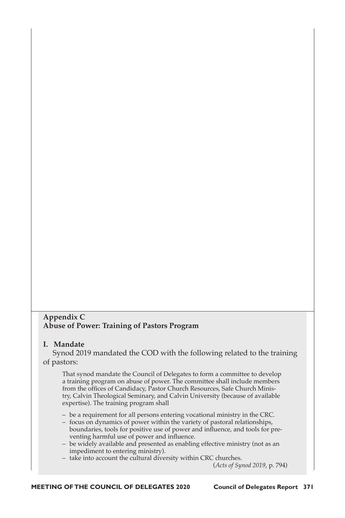# **Appendix C Abuse of Power: Training of Pastors Program**

## **I. Mandate**

Synod 2019 mandated the COD with the following related to the training of pastors:

That synod mandate the Council of Delegates to form a committee to develop a training program on abuse of power. The committee shall include members from the offices of Candidacy, Pastor Church Resources, Safe Church Ministry, Calvin Theological Seminary, and Calvin University (because of available expertise). The training program shall

- be a requirement for all persons entering vocational ministry in the CRC.
- focus on dynamics of power within the variety of pastoral relationships, boundaries, tools for positive use of power and influence, and tools for preventing harmful use of power and influence.
- be widely available and presented as enabling effective ministry (not as an impediment to entering ministry).
- take into account the cultural diversity within CRC churches.

(*Acts of Synod 2019*, p. 794)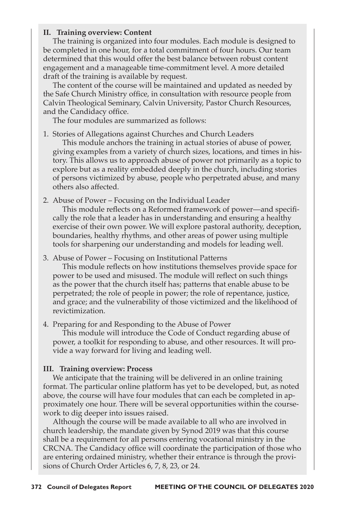### **II. Training overview: Content**

The training is organized into four modules. Each module is designed to be completed in one hour, for a total commitment of four hours. Our team determined that this would offer the best balance between robust content engagement and a manageable time-commitment level. A more detailed draft of the training is available by request.

The content of the course will be maintained and updated as needed by the Safe Church Ministry office, in consultation with resource people from Calvin Theological Seminary, Calvin University, Pastor Church Resources, and the Candidacy office.

The four modules are summarized as follows:

1. Stories of Allegations against Churches and Church Leaders

This module anchors the training in actual stories of abuse of power, giving examples from a variety of church sizes, locations, and times in history. This allows us to approach abuse of power not primarily as a topic to explore but as a reality embedded deeply in the church, including stories of persons victimized by abuse, people who perpetrated abuse, and many others also affected.

2. Abuse of Power – Focusing on the Individual Leader

This module reflects on a Reformed framework of power—and specifically the role that a leader has in understanding and ensuring a healthy exercise of their own power. We will explore pastoral authority, deception, boundaries, healthy rhythms, and other areas of power using multiple tools for sharpening our understanding and models for leading well.

3. Abuse of Power – Focusing on Institutional Patterns

This module reflects on how institutions themselves provide space for power to be used and misused. The module will reflect on such things as the power that the church itself has; patterns that enable abuse to be perpetrated; the role of people in power; the role of repentance, justice, and grace; and the vulnerability of those victimized and the likelihood of revictimization.

4. Preparing for and Responding to the Abuse of Power

This module will introduce the Code of Conduct regarding abuse of power, a toolkit for responding to abuse, and other resources. It will provide a way forward for living and leading well.

#### **III. Training overview: Process**

We anticipate that the training will be delivered in an online training format. The particular online platform has yet to be developed, but, as noted above, the course will have four modules that can each be completed in approximately one hour. There will be several opportunities within the coursework to dig deeper into issues raised.

Although the course will be made available to all who are involved in church leadership, the mandate given by Synod 2019 was that this course shall be a requirement for all persons entering vocational ministry in the CRCNA. The Candidacy office will coordinate the participation of those who are entering ordained ministry, whether their entrance is through the provisions of Church Order Articles 6, 7, 8, 23, or 24.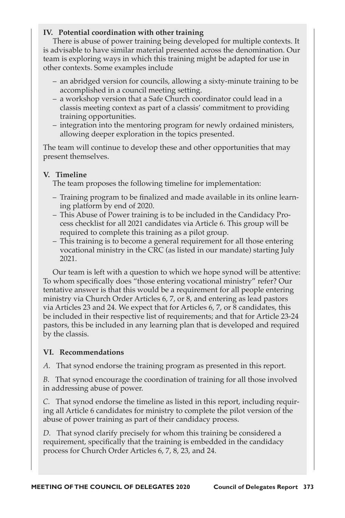# **IV. Potential coordination with other training**

There is abuse of power training being developed for multiple contexts. It is advisable to have similar material presented across the denomination. Our team is exploring ways in which this training might be adapted for use in other contexts. Some examples include

- an abridged version for councils, allowing a sixty-minute training to be accomplished in a council meeting setting.
- a workshop version that a Safe Church coordinator could lead in a classis meeting context as part of a classis' commitment to providing training opportunities.
- integration into the mentoring program for newly ordained ministers, allowing deeper exploration in the topics presented.

The team will continue to develop these and other opportunities that may present themselves.

# **V. Timeline**

The team proposes the following timeline for implementation:

- Training program to be finalized and made available in its online learning platform by end of 2020.
- This Abuse of Power training is to be included in the Candidacy Process checklist for all 2021 candidates via Article 6. This group will be required to complete this training as a pilot group.
- This training is to become a general requirement for all those entering vocational ministry in the CRC (as listed in our mandate) starting July 2021.

Our team is left with a question to which we hope synod will be attentive: To whom specifically does "those entering vocational ministry" refer? Our tentative answer is that this would be a requirement for all people entering ministry via Church Order Articles 6, 7, or 8, and entering as lead pastors via Articles 23 and 24. We expect that for Articles 6, 7, or 8 candidates, this be included in their respective list of requirements; and that for Article 23-24 pastors, this be included in any learning plan that is developed and required by the classis.

## **VI. Recommendations**

*A.* That synod endorse the training program as presented in this report.

*B.* That synod encourage the coordination of training for all those involved in addressing abuse of power.

*C.* That synod endorse the timeline as listed in this report, including requiring all Article 6 candidates for ministry to complete the pilot version of the abuse of power training as part of their candidacy process.

*D.* That synod clarify precisely for whom this training be considered a requirement, specifically that the training is embedded in the candidacy process for Church Order Articles 6, 7, 8, 23, and 24.